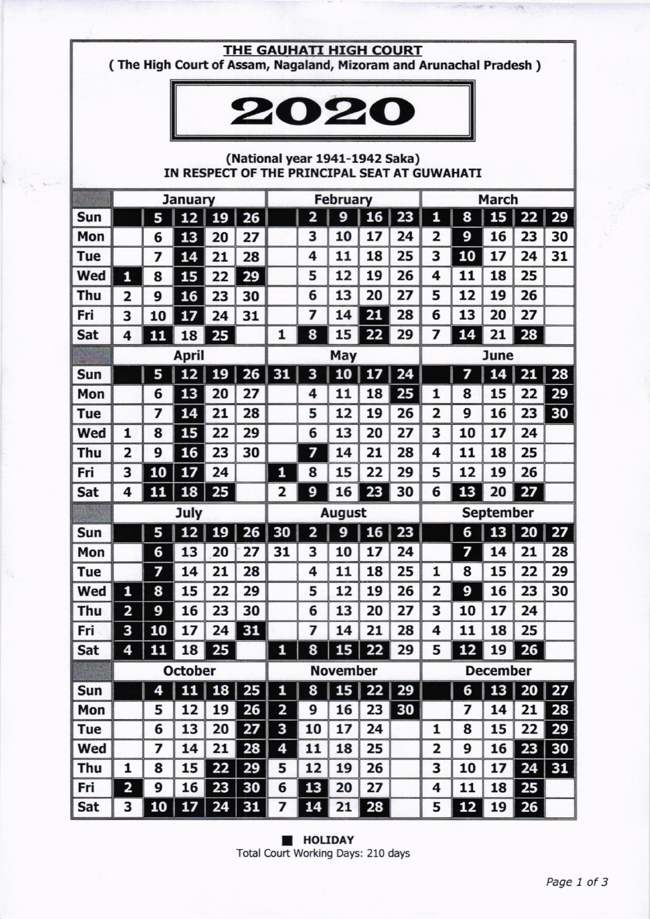#### THE GAUHATI HIGH COURT

( The High Court of Assam, Nagaland, Mizoram and Arunachal Pradesh )



## (National year 1941-1942 Saka) IN RESPECT OF THE PRINCIPAL SEAT AT GUWAHATI

|            | <b>January</b>          |    |                |    | <b>February</b> |    |    |                 | <b>March</b>     |    |   |    |                 |    |    |
|------------|-------------------------|----|----------------|----|-----------------|----|----|-----------------|------------------|----|---|----|-----------------|----|----|
| Sun        |                         | 5  | 12             | 19 | 26              |    | 2  | 9               | 16               | 23 | 1 | 8  | 15              | 22 | 29 |
| Mon        |                         | 6  | 13             | 20 | 27              |    | 3  | 10              | 17               | 24 | 2 | 9  | 16              | 23 | 30 |
| Tue        |                         | 7  | 14             | 21 | 28              |    | 4  | 11              | 18               | 25 | 3 | 10 | 17              | 24 | 31 |
| Wed        | 1                       | 8  | 15             | 22 | 29              |    | 5  | 12              | 19               | 26 | 4 | 11 | 18              | 25 |    |
| Thu        | $\overline{\mathbf{2}}$ | 9  | 16             | 23 | 30              |    | 6  | 13              | 20               | 27 | 5 | 12 | 19              | 26 |    |
| Fri        | 3                       | 10 | 17             | 24 | 31              |    | 7  | 14              | 21               | 28 | 6 | 13 | 20              | 27 |    |
| Sat        | 4                       | 11 | 18             | 25 |                 | 1  | 8  | 15              | 22               | 29 | 7 | 14 | 21              | 28 |    |
|            | April                   |    |                |    | May             |    |    |                 | <b>June</b>      |    |   |    |                 |    |    |
| Sun        |                         | 5  | 12             | 19 | 26              | 31 | 3  | 10              | 17               | 24 |   | 7  | 14              | 21 | 28 |
| Mon        |                         | 6  | 13             | 20 | 27              |    | 4  | 11              | 18               | 25 | 1 | 8  | 15              | 22 | 29 |
| <b>Tue</b> |                         | 7  | 14             | 21 | 28              |    | 5  | 12              | 19               | 26 | 2 | 9  | 16              | 23 | 30 |
| Wed        | 1                       | 8  | 15             | 22 | 29              |    | 6  | 13              | 20               | 27 | 3 | 10 | 17              | 24 |    |
| Thu        | $\overline{\mathbf{2}}$ | 9  | 16             | 23 | 30              |    | 7  | 14              | 21               | 28 | 4 | 11 | 18              | 25 |    |
| Fri        | 3                       | 10 | 17             | 24 |                 | 1  | 8  | 15              | 22               | 29 | 5 | 12 | 19              | 26 |    |
| Sat        | 4                       | 11 | 18             | 25 |                 | 2  | 9  | 16              | 23               | 30 | 6 | 13 | 20              | 27 |    |
|            |                         |    |                |    | <b>August</b>   |    |    |                 | <b>September</b> |    |   |    |                 |    |    |
|            |                         |    | <b>July</b>    |    |                 |    |    |                 |                  |    |   |    |                 |    |    |
| Sun        |                         | 5  | 12             | 19 | 26              | 30 | 2  | 9               | 16               | 23 |   | 6  | 13              | 20 | 27 |
| Mon        |                         | 6  | 13             | 20 | 27              | 31 | 3  | 10              | 17               | 24 |   | 7  | 14              | 21 | 28 |
| <b>Tue</b> |                         | 7  | 14             | 21 | 28              |    | 4  | 11              | 18               | 25 | 1 | 8  | 15              | 22 | 29 |
| Wed        | 1                       | 8  | 15             | 22 | 29              |    | 5  | 12              | 19               | 26 | 2 | 9  | 16              | 23 | 30 |
| Thu        | $\overline{\mathbf{c}}$ | 9  | 16             | 23 | 30              |    | 6  | 13              | 20               | 27 | 3 | 10 | 17              | 24 |    |
| Fri        | 3                       | 10 | 17             | 24 | 31              |    | 7  | 14              | 21               | 28 | 4 | 11 | 18              | 25 |    |
| Sat        | 4                       | 11 | 18             | 25 |                 | 1  | 8  | 15              | 22               | 29 | 5 | 12 | 19              | 26 |    |
|            |                         |    | <b>October</b> |    |                 |    |    | <b>November</b> |                  |    |   |    | <b>December</b> |    |    |
| Sun        |                         | 4  | 11             | 18 | 25              | 1  | 8  | 15              | 22               | 29 |   | 6  | 13              | 20 | 27 |
| Mon        |                         | 5  | 12             | 19 | 26              | 2  | 9  | 16              | 23               | 30 |   | 7  | 14              | 21 | 28 |
| <b>Tue</b> |                         | 6  | 13             | 20 | 27              | 3  | 10 | 17              | 24               |    | 1 | 8  | 15              | 22 | 29 |
| Wed        |                         | 7  | 14             | 21 | 28              | 4  | 11 | 18              | 25               |    | 2 | 9  | 16              | 23 | 30 |
| Thu        | 1                       | 8  | 15             | 22 | 29              | 5  | 12 | 19              | 26               |    | 3 | 10 | 17              | 24 | 31 |
| Fri        | $\overline{\mathbf{c}}$ | 9  | 16             | 23 | 30              | 6  | 13 | 20              | 27               |    | 4 | 11 | 18              | 25 |    |

**IN HOLIDAY** Total Court Working Days: 210 days